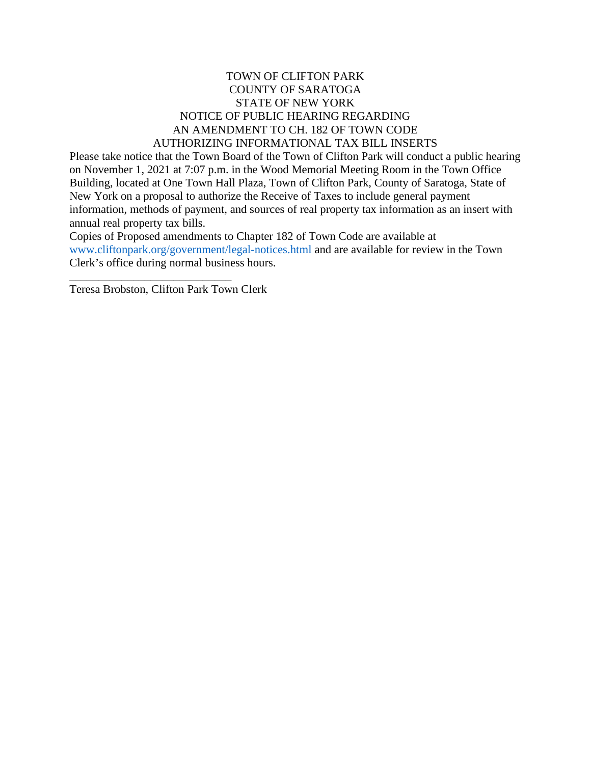#### TOWN OF CLIFTON PARK COUNTY OF SARATOGA STATE OF NEW YORK NOTICE OF PUBLIC HEARING REGARDING AN AMENDMENT TO CH. 182 OF TOWN CODE AUTHORIZING INFORMATIONAL TAX BILL INSERTS

Please take notice that the Town Board of the Town of Clifton Park will conduct a public hearing on November 1, 2021 at 7:07 p.m. in the Wood Memorial Meeting Room in the Town Office Building, located at One Town Hall Plaza, Town of Clifton Park, County of Saratoga, State of New York on a proposal to authorize the Receive of Taxes to include general payment information, methods of payment, and sources of real property tax information as an insert with annual real property tax bills.

Copies of Proposed amendments to Chapter 182 of Town Code are available at www.cliftonpark.org/government/legal-notices.html and are available for review in the Town Clerk's office during normal business hours.

Teresa Brobston, Clifton Park Town Clerk

\_\_\_\_\_\_\_\_\_\_\_\_\_\_\_\_\_\_\_\_\_\_\_\_\_\_\_\_